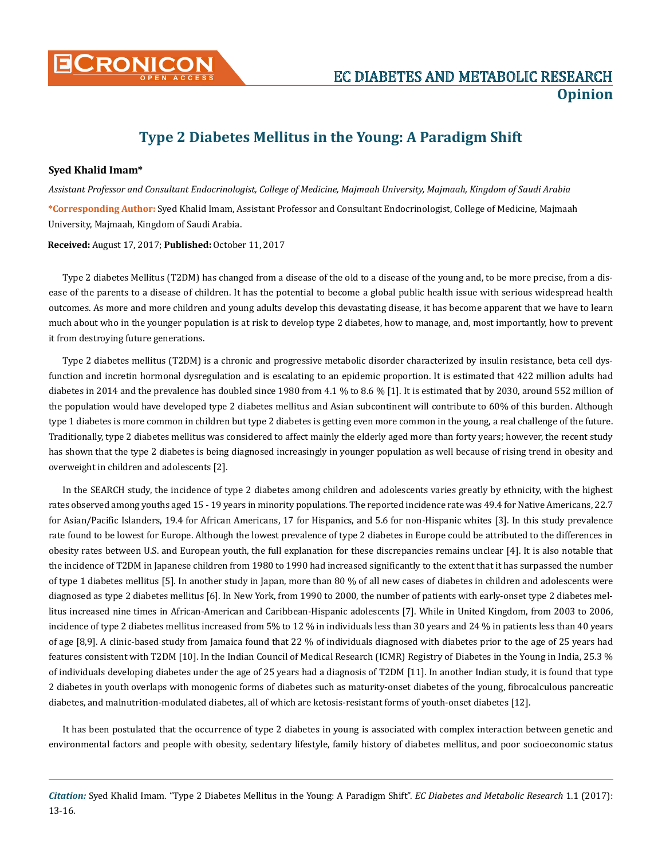

## **Type 2 Diabetes Mellitus in the Young: A Paradigm Shift**

## **Syed Khalid Imam\***

*Assistant Professor and Consultant Endocrinologist, College of Medicine, Majmaah University, Majmaah, Kingdom of Saudi Arabia* 

**\*Corresponding Author:** Syed Khalid Imam, Assistant Professor and Consultant Endocrinologist, College of Medicine, Majmaah University, Majmaah, Kingdom of Saudi Arabia.

**Received:** August 17, 2017; **Published:** October 11, 2017

Type 2 diabetes Mellitus (T2DM) has changed from a disease of the old to a disease of the young and, to be more precise, from a disease of the parents to a disease of children. It has the potential to become a global public health issue with serious widespread health outcomes. As more and more children and young adults develop this devastating disease, it has become apparent that we have to learn much about who in the younger population is at risk to develop type 2 diabetes, how to manage, and, most importantly, how to prevent it from destroying future generations.

Type 2 diabetes mellitus (T2DM) is a chronic and progressive metabolic disorder characterized by insulin resistance, beta cell dysfunction and incretin hormonal dysregulation and is escalating to an epidemic proportion. It is estimated that 422 million adults had diabetes in 2014 and the prevalence has doubled since 1980 from 4.1 % to 8.6 % [1]. It is estimated that by 2030, around 552 million of the population would have developed type 2 diabetes mellitus and Asian subcontinent will contribute to 60% of this burden. Although type 1 diabetes is more common in children but type 2 diabetes is getting even more common in the young, a real challenge of the future. Traditionally, type 2 diabetes mellitus was considered to affect mainly the elderly aged more than forty years; however, the recent study has shown that the type 2 diabetes is being diagnosed increasingly in younger population as well because of rising trend in obesity and overweight in children and adolescents [2].

In the SEARCH study, the incidence of type 2 diabetes among children and adolescents varies greatly by ethnicity, with the highest rates observed among youths aged 15 - 19 years in minority populations. The reported incidence rate was 49.4 for Native Americans, 22.7 for Asian/Pacific Islanders, 19.4 for African Americans, 17 for Hispanics, and 5.6 for non-Hispanic whites [3]. In this study prevalence rate found to be lowest for Europe. Although the lowest prevalence of type 2 diabetes in Europe could be attributed to the differences in obesity rates between U.S. and European youth, the full explanation for these discrepancies remains unclear [4]. It is also notable that the incidence of T2DM in Japanese children from 1980 to 1990 had increased significantly to the extent that it has surpassed the number of type 1 diabetes mellitus [5]. In another study in Japan, more than 80 % of all new cases of diabetes in children and adolescents were diagnosed as type 2 diabetes mellitus [6]. In New York, from 1990 to 2000, the number of patients with early-onset type 2 diabetes mellitus increased nine times in African-American and Caribbean-Hispanic adolescents [7]. While in United Kingdom, from 2003 to 2006, incidence of type 2 diabetes mellitus increased from 5% to 12 % in individuals less than 30 years and 24 % in patients less than 40 years of age [8,9]. A clinic-based study from Jamaica found that 22 % of individuals diagnosed with diabetes prior to the age of 25 years had features consistent with T2DM [10]. In the Indian Council of Medical Research (ICMR) Registry of Diabetes in the Young in India, 25.3 % of individuals developing diabetes under the age of 25 years had a diagnosis of T2DM [11]. In another Indian study, it is found that type 2 diabetes in youth overlaps with monogenic forms of diabetes such as maturity-onset diabetes of the young, fibrocalculous pancreatic diabetes, and malnutrition-modulated diabetes, all of which are ketosis-resistant forms of youth-onset diabetes [12].

It has been postulated that the occurrence of type 2 diabetes in young is associated with complex interaction between genetic and environmental factors and people with obesity, sedentary lifestyle, family history of diabetes mellitus, and poor socioeconomic status

*Citation:* Syed Khalid Imam. "Type 2 Diabetes Mellitus in the Young: A Paradigm Shift". *EC Diabetes and Metabolic Research* 1.1 (2017): 13-16.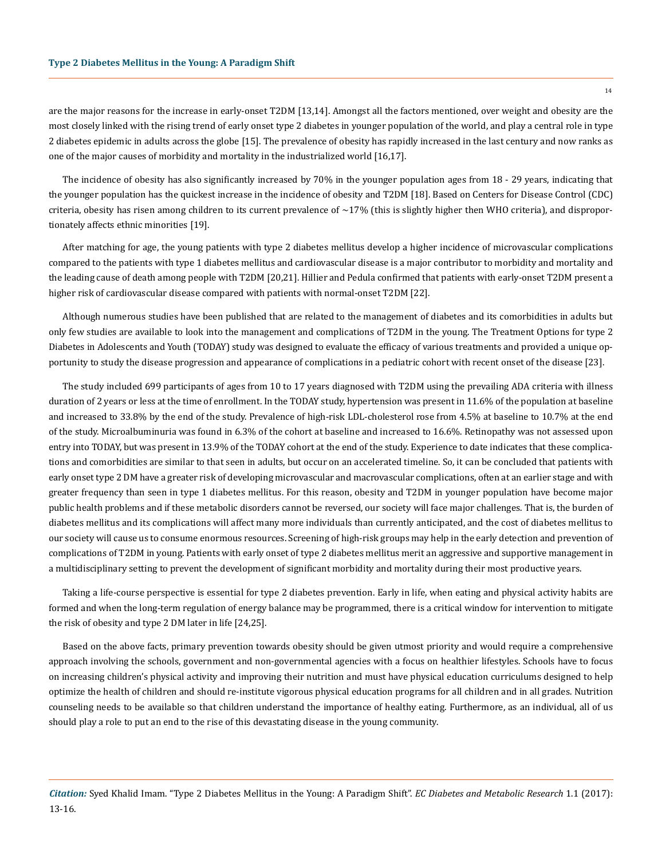are the major reasons for the increase in early-onset T2DM [13,14]. Amongst all the factors mentioned, over weight and obesity are the most closely linked with the rising trend of early onset type 2 diabetes in younger population of the world, and play a central role in type 2 diabetes epidemic in adults across the globe [15]. The prevalence of obesity has rapidly increased in the last century and now ranks as one of the major causes of morbidity and mortality in the industrialized world [16,17].

The incidence of obesity has also significantly increased by 70% in the younger population ages from 18 - 29 years, indicating that the younger population has the quickest increase in the incidence of obesity and T2DM [18]. Based on Centers for Disease Control (CDC) criteria, obesity has risen among children to its current prevalence of  $\sim$ 17% (this is slightly higher then WHO criteria), and disproportionately affects ethnic minorities [19].

After matching for age, the young patients with type 2 diabetes mellitus develop a higher incidence of microvascular complications compared to the patients with type 1 diabetes mellitus and cardiovascular disease is a major contributor to morbidity and mortality and the leading cause of death among people with T2DM [20,21]. Hillier and Pedula confirmed that patients with early‑onset T2DM present a higher risk of cardiovascular disease compared with patients with normal-onset T2DM [22].

Although numerous studies have been published that are related to the management of diabetes and its comorbidities in adults but only few studies are available to look into the management and complications of T2DM in the young. The Treatment Options for type 2 Diabetes in Adolescents and Youth (TODAY) study was designed to evaluate the efficacy of various treatments and provided a unique opportunity to study the disease progression and appearance of complications in a pediatric cohort with recent onset of the disease [23].

The study included 699 participants of ages from 10 to 17 years diagnosed with T2DM using the prevailing ADA criteria with illness duration of 2 years or less at the time of enrollment. In the TODAY study, hypertension was present in 11.6% of the population at baseline and increased to 33.8% by the end of the study. Prevalence of high-risk LDL-cholesterol rose from 4.5% at baseline to 10.7% at the end of the study. Microalbuminuria was found in 6.3% of the cohort at baseline and increased to 16.6%. Retinopathy was not assessed upon entry into TODAY, but was present in 13.9% of the TODAY cohort at the end of the study. Experience to date indicates that these complications and comorbidities are similar to that seen in adults, but occur on an accelerated timeline. So, it can be concluded that patients with early onset type 2 DM have a greater risk of developing microvascular and macrovascular complications, often at an earlier stage and with greater frequency than seen in type 1 diabetes mellitus. For this reason, obesity and T2DM in younger population have become major public health problems and if these metabolic disorders cannot be reversed, our society will face major challenges. That is, the burden of diabetes mellitus and its complications will affect many more individuals than currently anticipated, and the cost of diabetes mellitus to our society will cause us to consume enormous resources. Screening of high-risk groups may help in the early detection and prevention of complications of T2DM in young. Patients with early onset of type 2 diabetes mellitus merit an aggressive and supportive management in a multidisciplinary setting to prevent the development of significant morbidity and mortality during their most productive years.

Taking a life-course perspective is essential for type 2 diabetes prevention. Early in life, when eating and physical activity habits are formed and when the long-term regulation of energy balance may be programmed, there is a critical window for intervention to mitigate the risk of obesity and type 2 DM later in life [24,25].

Based on the above facts, primary prevention towards obesity should be given utmost priority and would require a comprehensive approach involving the schools, government and non-governmental agencies with a focus on healthier lifestyles. Schools have to focus on increasing children's physical activity and improving their nutrition and must have physical education curriculums designed to help optimize the health of children and should re-institute vigorous physical education programs for all children and in all grades. Nutrition counseling needs to be available so that children understand the importance of healthy eating. Furthermore, as an individual, all of us should play a role to put an end to the rise of this devastating disease in the young community.

14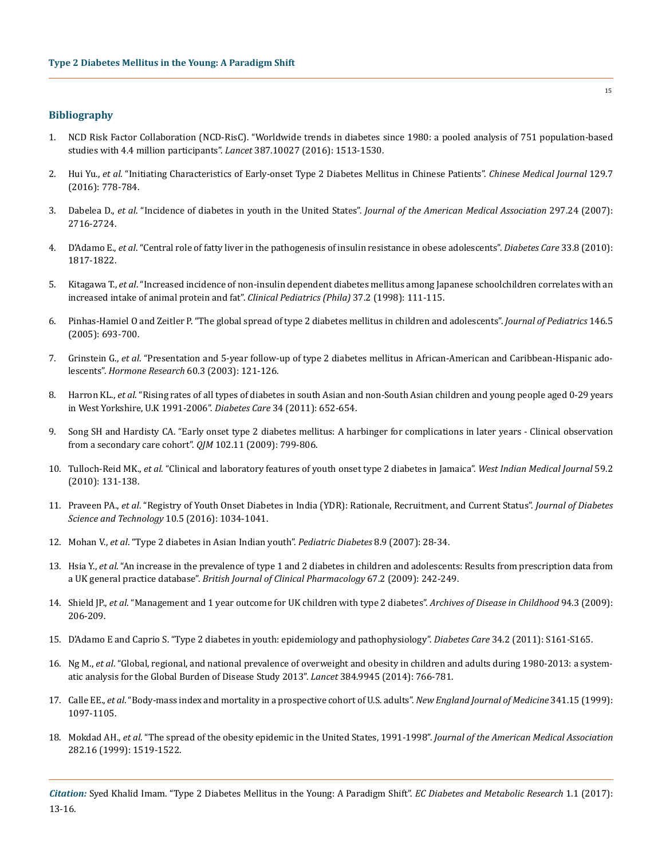## **Bibliography**

- 1. [NCD Risk Factor Collaboration \(NCD-RisC\). "Worldwide trends in diabetes since 1980: a pooled analysis of 751 population-based](https://www.ncbi.nlm.nih.gov/pubmed/27061677)  [studies with 4.4 million participants".](https://www.ncbi.nlm.nih.gov/pubmed/27061677) *Lancet* 387.10027 (2016): 1513-1530.
- 2. Hui Yu., *et al*[. "Initiating Characteristics of Early-onset Type 2 Diabetes Mellitus in Chinese Patients".](https://www.ncbi.nlm.nih.gov/pubmed/26996471) *Chinese Medical Journal* 129.7 [\(2016\): 778-784.](https://www.ncbi.nlm.nih.gov/pubmed/26996471)
- 3. Dabelea D., *et al*[. "Incidence of diabetes in youth in the United States".](https://www.ncbi.nlm.nih.gov/pubmed/17595272) *Journal of the American Medical Association* 297.24 (2007): [2716-2724.](https://www.ncbi.nlm.nih.gov/pubmed/17595272)
- 4. D'Adamo E., *et al*[. "Central role of fatty liver in the pathogenesis of insulin resistance in obese adolescents".](https://www.ncbi.nlm.nih.gov/pubmed/20668154) *Diabetes Care* 33.8 (2010): [1817-1822.](https://www.ncbi.nlm.nih.gov/pubmed/20668154)
- 5. Kitagawa T., *et al*[. "Increased incidence of non-insulin dependent diabetes mellitus among Japanese schoolchildren correlates with an](https://www.ncbi.nlm.nih.gov/pubmed/9492119)  [increased intake of animal protein and fat".](https://www.ncbi.nlm.nih.gov/pubmed/9492119) *Clinical Pediatrics (Phila)* 37.2 (1998): 111-115.
- 6. [Pinhas-Hamiel O and Zeitler P. "The global spread of type 2 diabetes mellitus in children and adolescents".](https://www.ncbi.nlm.nih.gov/pubmed/15870677) *Journal of Pediatrics* 146.5 [\(2005\): 693-700.](https://www.ncbi.nlm.nih.gov/pubmed/15870677)
- 7. Grinstein G., *et al*[. "Presentation and 5-year follow-up of type 2 diabetes mellitus in African-American and Caribbean-Hispanic ado](https://www.ncbi.nlm.nih.gov/pubmed/12931039)lescents". *[Hormone Research](https://www.ncbi.nlm.nih.gov/pubmed/12931039)* 60.3 (2003): 121-126.
- 8. Harron KL., *et al*[. "Rising rates of all types of diabetes in south Asian and non-South Asian children and young people aged 0-29 years](http://care.diabetesjournals.org/content/diacare/early/2011/01/28/dc10-1512.full.pdf) [in West Yorkshire, U.K 1991-2006".](http://care.diabetesjournals.org/content/diacare/early/2011/01/28/dc10-1512.full.pdf) *Diabetes Care* 34 (2011): 652-654.
- 9. [Song SH and Hardisty CA. "Early onset type 2 diabetes mellitus: A harbinger for complications in later years Clinical observation](https://www.ncbi.nlm.nih.gov/pubmed/19734298)  [from a secondary care cohort".](https://www.ncbi.nlm.nih.gov/pubmed/19734298) *QJM* 102.11 (2009): 799-806.
- 10. Tulloch-Reid MK., *et al*[. "Clinical and laboratory features of youth onset type 2 diabetes in Jamaica".](https://www.ncbi.nlm.nih.gov/pubmed/21275116) *West Indian Medical Journal* 59.2 [\(2010\): 131-138.](https://www.ncbi.nlm.nih.gov/pubmed/21275116)
- 11. Praveen PA., *et al*[. "Registry of Youth Onset Diabetes in India \(YDR\): Rationale, Recruitment, and Current Status".](https://www.ncbi.nlm.nih.gov/pubmed/27179010) *Journal of Diabetes [Science and Technology](https://www.ncbi.nlm.nih.gov/pubmed/27179010)* 10.5 (2016): 1034-1041.
- 12. Mohan V., *et al*[. "Type 2 diabetes in Asian Indian youth".](https://www.ncbi.nlm.nih.gov/pubmed/17991130) *Pediatric Diabetes* 8.9 (2007): 28-34.
- 13. Hsia Y., *et al*[. "An increase in the prevalence of type 1 and 2 diabetes in children and adolescents: Results from prescription data from](https://www.ncbi.nlm.nih.gov/pubmed/19260863)  a UK general practice database". *[British Journal of Clinical Pharmacology](https://www.ncbi.nlm.nih.gov/pubmed/19260863)* 67.2 (2009): 242-249.
- 14. Shield JP., *et al*[. "Management and 1 year outcome for UK children with type 2 diabetes".](https://www.ncbi.nlm.nih.gov/pubmed/18838418) *Archives of Disease in Childhood* 94.3 (2009): [206-209.](https://www.ncbi.nlm.nih.gov/pubmed/18838418)
- 15. [D'Adamo E and Caprio S. "Type 2 diabetes in youth: epidemiology and pathophysiology".](https://www.ncbi.nlm.nih.gov/pubmed/21525449) *Diabetes Care* 34.2 (2011): S161-S165.
- 16. Ng M., *et al*[. "Global, regional, and national prevalence of overweight and obesity in children and adults during 1980-2013: a system](https://www.ncbi.nlm.nih.gov/pubmed/24880830)[atic analysis for the Global Burden of Disease Study 2013".](https://www.ncbi.nlm.nih.gov/pubmed/24880830) *Lancet* 384.9945 (2014): 766-781.
- 17. Calle EE., *et al*[. "Body-mass index and mortality in a prospective cohort of U.S. adults".](https://www.ncbi.nlm.nih.gov/pubmed/10511607) *New England Journal of Medicine* 341.15 (1999): [1097-1105.](https://www.ncbi.nlm.nih.gov/pubmed/10511607)
- 18. Mokdad AH., *et al*[. "The spread of the obesity epidemic in the United States, 1991-1998".](https://www.ncbi.nlm.nih.gov/pubmed/10546690) *Journal of the American Medical Association* [282.16 \(1999\): 1519-1522.](https://www.ncbi.nlm.nih.gov/pubmed/10546690)

*Citation:* Syed Khalid Imam. "Type 2 Diabetes Mellitus in the Young: A Paradigm Shift". *EC Diabetes and Metabolic Research* 1.1 (2017): 13-16.